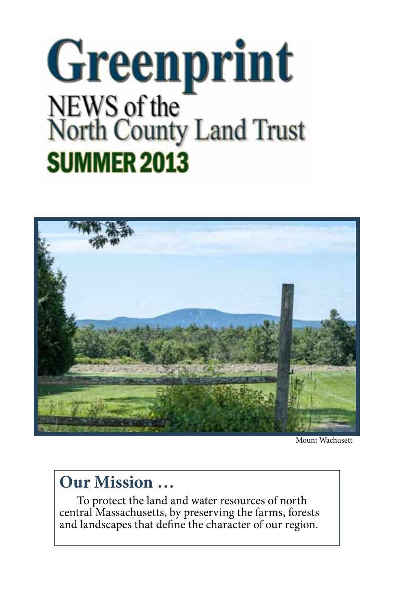# **Greenprint** NEWS of the<br>North County Land Trust **SUMMER 2013**



Mount Wachusett

## **Our Mission …**

To protect the land and water resources of north central Massachusetts, by preserving the farms, forests and landscapes that define the character of our region.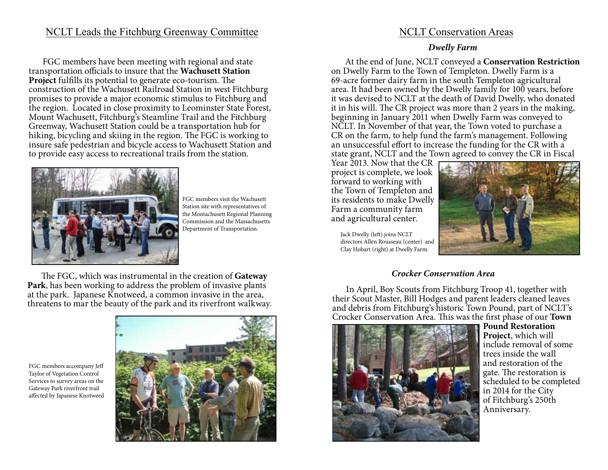## NCLT Leads the Fitchburg Greenway Committee

FGC members have been meeting with regional and state transportation officials to insure that the **Wachusett Station Project** fulfills its potential to generate eco-tourism. The construction of the Wachusett Railroad Station in west Fitchburg promises to provide a major economic stimulus to Fitchburg and the region. Located in close proximity to Leominster State Forest, Mount Wachusett, Fitchburg's Steamline Trail and the Fitchburg Greenway, Wachusett Station could be a transportation hub for hiking, bicycling and skiing in the region. The FGC is working to insure safe pedestrian and bicycle access to Wachusett Station and to provide easy access to recreational trails from the station.



FGC members visit the Wachusett Station site with representatives of the Montachusett Regional Planning Commission and the Massachusetts Department of Transportation.

The FGC, which was instrumental in the creation of **Gateway Park**, has been working to address the problem of invasive plants at the park. Japanese Knotweed, a common invasive in the area, threatens to mar the beauty of the park and its riverfront walkway.

FGC members accompany Jeff Taylor of Vegetation Control Services to survey areas on the Gateway Park riverfront trail affected by Japanese Knotweed



## NCLT Conservation Areas

#### **Dwelly Farm**

At the end of June, NCLT conveyed a **Conservation Restriction** on Dwelly Farm to the Town of Templeton. Dwelly Farm is a 69-acre former dairy farm in the south Templeton agricultural area. It had been owned by the Dwelly family for 100 years, before it was devised to NCLT at the death of David Dwelly, who donated it in his will. The CR project was more than 2 years in the making, beginning in January 2011 when Dwelly Farm was conveyed to NCLT. In November of that year, the Town voted to purchase a CR on the farm, to help fund the farm's management. Following an unsuccessful effort to increase the funding for the CR with a state grant, NCLT and the Town agreed to convey the CR in Fiscal

Year 2013. Now that the CR project is complete, we look forward to working with the Town of Templeton and its residents to make Dwelly Farm a community farm and agricultural center.

Jack Dwelly (left) joins NCLT directors Allen Rousseau (center) and Clay Hobart (right) at Dwelly Farm.



### **Crocker Conservation Area**

In April, Boy Scouts from Fitchburg Troop 41, together with their Scout Master, Bill Hodges and parent leaders cleaned leaves and debris from Fitchburg's historic Town Pound, part of NCLT's Crocker Conservation Area. This was the first phase of our **Town** 



**Pound Restoration Project**, which will include removal of some trees inside the wall and restoration of the gate. The restoration is scheduled to be completed in 2014 for the City of Fitchburg's 250th Anniversary.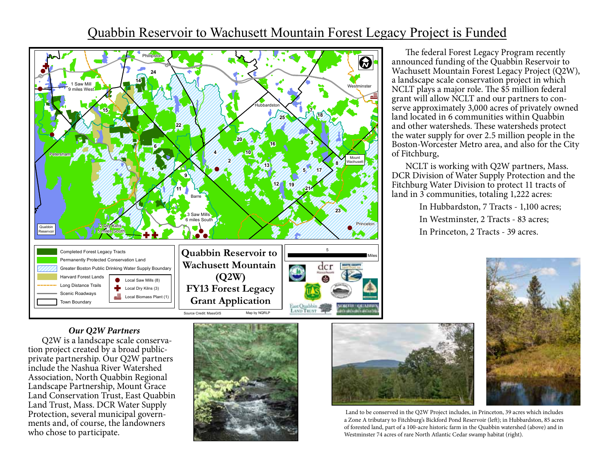## Quabbin Reservoir to Wachusett Mountain Forest Legacy Project is Funded



The federal Forest Legacy Program recently announced funding of the Quabbin Reservoir to Wachusett Mountain Forest Legacy Project (Q2W), a landscape scale conservation project in which NCLT plays a major role. The \$5 million federal grant will allow NCLT and our partners to conserve approximately 3,000 acres of privately owned land located in 6 communities within Quabbin and other watersheds. These watersheds protect the water supply for over 2.5 million people in the Boston-Worcester Metro area, and also for the City of Fitchburg,

NCLT is working with Q2W partners, Mass. DCR Division of Water Supply Protection and the Fitchburg Water Division to protect 11 tracts of land in 3 communities, totaling 1,222 acres:

> In Hubbardston, 7 Tracts - 1,100 acres; In Westminster, 2 Tracts - 83 acres; In Princeton, 2 Tracts - 39 acres.



### **Our Q2W Partners**

Q2W is a landscape scale conservation project created by a broad publicprivate partnership. Our Q2W partners include the Nashua River Watershed Association, North Quabbin Regional Landscape Partnership, Mount Grace Land Conservation Trust, East Quabbin Land Trust, Mass. DCR Water Supply Protection, several municipal governments and, of course, the landowners who chose to participate.





 Land to be conserved in the Q2W Project includes, in Princeton, 39 acres which includes a Zone A tributary to Fitchburg's Bickford Pond Reservoir (left); in Hubbardston, 85 acres of forested land, part of a 100-acre historic farm in the Quabbin watershed (above) and in Westminster 74 acres of rare North Atlantic Cedar swamp habitat (right).